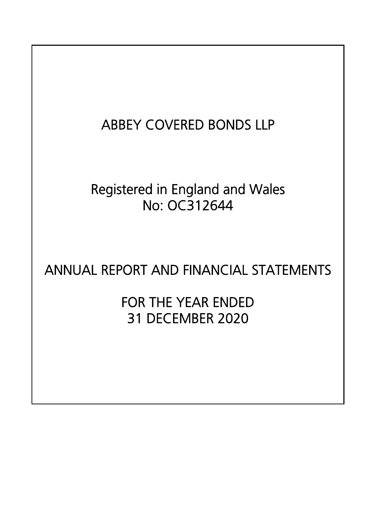# ABBEY COVERED BONDS LLP

# Registered in England and Wales No: OC312644

# ANNUAL REPORT AND FINANCIAL STATEMENTS

FOR THE YEAR ENDED 31 DECEMBER 2020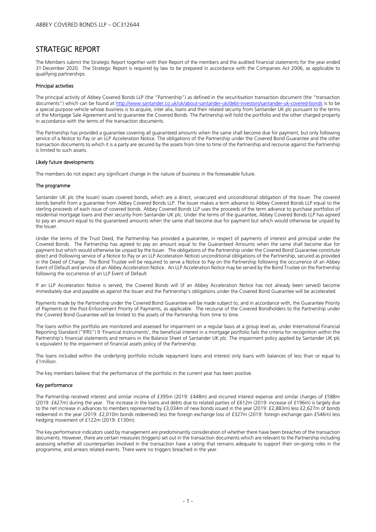### STRATEGIC REPORT

The Members submit the Strategic Report together with their Report of the members and the audited financial statements for the year ended 31 December 2020. The Strategic Report is required by law to be prepared in accordance with the Companies Act 2006, as applicable to qualifying partnerships.

#### Principal activities

The principal activity of Abbey Covered Bonds LLP (the "Partnership") as defined in the securitisation transaction document (the "transaction documents") which can be found at http://www.santander.co.uk/uk/about-santander-uk/debt-investors/santander-uk-covered-bonds is to be a special purpose vehicle whose business is to acquire, inter alia, loans and their related security from Santander UK plc pursuant to the terms of the Mortgage Sale Agreement and to guarantee the Covered Bonds. The Partnership will hold the portfolio and the other charged property in accordance with the terms of the transaction documents.

The Partnership has provided a guarantee covering all guaranteed amounts when the same shall become due for payment, but only following service of a Notice to Pay or an LLP Acceleration Notice. The obligations of the Partnership under the Covered Bond Guarantee and the other transaction documents to which it is a party are secured by the assets from time to time of the Partnership and recourse against the Partnership is limited to such assets.

#### Likely future developments

The members do not expect any significant change in the nature of business in the foreseeable future.

#### The programme

Santander UK plc (the Issuer) issues covered bonds, which are a direct, unsecured and unconditional obligation of the Issuer. The covered bonds benefit from a guarantee from Abbey Covered Bonds LLP. The Issuer makes a term advance to Abbey Covered Bonds LLP equal to the sterling proceeds of each issue of covered bonds. Abbey Covered Bonds LLP uses the proceeds of the term advance to purchase portfolios of residential mortgage loans and their security from Santander UK plc. Under the terms of the guarantee, Abbey Covered Bonds LLP has agreed to pay an amount equal to the guaranteed amounts when the same shall become due for payment but which would otherwise be unpaid by the Issuer.

Under the terms of the Trust Deed, the Partnership has provided a guarantee, in respect of payments of interest and principal under the Covered Bonds. The Partnership has agreed to pay an amount equal to the Guaranteed Amounts when the same shall become due for payment but which would otherwise be unpaid by the Issuer. The obligations of the Partnership under the Covered Bond Guarantee constitute direct and (following service of a Notice to Pay or an LLP Acceleration Notice) unconditional obligations of the Partnership, secured as provided in the Deed of Charge. The Bond Trustee will be required to serve a Notice to Pay on the Partnership following the occurrence of an Abbey Event of Default and service of an Abbey Acceleration Notice. An LLP Acceleration Notice may be served by the Bond Trustee on the Partnership following the occurrence of an LLP Event of Default.

If an LLP Acceleration Notice is served, the Covered Bonds will (if an Abbey Acceleration Notice has not already been served) become immediately due and payable as against the Issuer and the Partnership's obligations under the Covered Bond Guarantee will be accelerated.

Payments made by the Partnership under the Covered Bond Guarantee will be made subject to, and in accordance with, the Guarantee Priority of Payments or the Post-Enforcement Priority of Payments, as applicable. The recourse of the Covered Bondholders to the Partnership under the Covered Bond Guarantee will be limited to the assets of the Partnership from time to time.

The loans within the portfolio are monitored and assessed for impairment on a regular basis at a group level as, under International Financial Reporting Standard ("IFRS") 9 'Financial Instruments', the beneficial interest in a mortgage portfolio fails the criteria for recognition within the Partnership's financial statements and remains in the Balance Sheet of Santander UK plc. The impairment policy applied by Santander UK plc is equivalent to the impairment of financial assets policy of the Partnership.

The loans included within the underlying portfolio include repayment loans and interest only loans with balances of less than or equal to £1million.

The key members believe that the performance of the portfolio in the current year has been positive.

#### Key performance

The Partnership received interest and similar income of £395m (2019: £448m) and incurred interest expense and similar charges of £588m (2019: £427m) during the year. The increase in the loans and debts due to related parties of £612m (2019: increase of £196m) is largely due to the net increase in advances to members represented by £3,034m of new bonds issued in the year (2019: £2,883m) less £2,627m of bonds redeemed in the year (2019: £2,010m bonds redeemed) less the foreign exchange loss of £327m (2019: foreign exchange gain £546m) less hedging movement of £122m (2019: £130m).

The key performance indicators used by management are predominantly consideration of whether there have been breaches of the transaction documents. However, there are certain measures (triggers) set out in the transaction documents which are relevant to the Partnership including assessing whether all counterparties involved in the transaction have a rating that remains adequate to support their on-going roles in the programme, and arrears related events. There were no triggers breached in the year.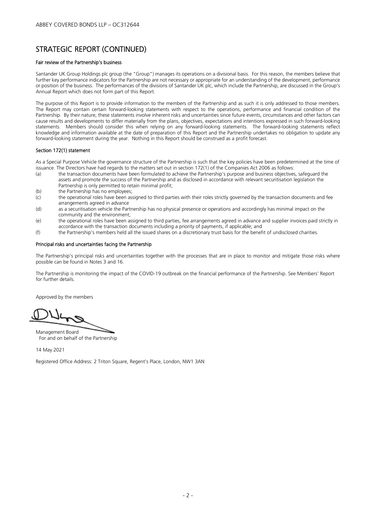### STRATEGIC REPORT (CONTINUED)

#### Fair review of the Partnership's business

Santander UK Group Holdings plc group (the "Group") manages its operations on a divisional basis. For this reason, the members believe that further key performance indicators for the Partnership are not necessary or appropriate for an understanding of the development, performance or position of the business. The performances of the divisions of Santander UK plc, which include the Partnership, are discussed in the Group's Annual Report which does not form part of this Report.

The purpose of this Report is to provide information to the members of the Partnership and as such it is only addressed to those members. The Report may contain certain forward-looking statements with respect to the operations, performance and financial condition of the Partnership. By their nature, these statements involve inherent risks and uncertainties since future events, circumstances and other factors can cause results and developments to differ materially from the plans, objectives, expectations and intentions expressed in such forward-looking statements. Members should consider this when relying on any forward-looking statements. The forward-looking statements reflect knowledge and information available at the date of preparation of this Report and the Partnership undertakes no obligation to update any forward-looking statement during the year. Nothing in this Report should be construed as a profit forecast.

#### Section 172(1) statement

As a Special Purpose Vehicle the governance structure of the Partnership is such that the key policies have been predetermined at the time of issuance. The Directors have had regards to the matters set out in section 172(1) of the Companies Act 2006 as follows:

- (a) the transaction documents have been formulated to achieve the Partnership's purpose and business objectives, safeguard the assets and promote the success of the Partnership and as disclosed in accordance with relevant securitisation legislation the Partnership is only permitted to retain minimal profit;
- (b) the Partnership has no employees;<br>(c) the operational roles have been as
- the operational roles have been assigned to third parties with their roles strictly governed by the transaction documents and fee arrangements agreed in advance
- (d) as a securitisation vehicle the Partnership has no physical presence or operations and accordingly has minimal impact on the community and the environment;
- (e) the operational roles have been assigned to third parties, fee arrangements agreed in advance and supplier invoices paid strictly in accordance with the transaction documents including a priority of payments, if applicable; and
- (f) the Partnership's members held all the issued shares on a discretionary trust basis for the benefit of undisclosed charities.

#### Principal risks and uncertainties facing the Partnership

The Partnership's principal risks and uncertainties together with the processes that are in place to monitor and mitigate those risks where possible can be found in Notes 3 and 16.

The Partnership is monitoring the impact of the COVID-19 outbreak on the financial performance of the Partnership. See Members' Report for further details.

Approved by the members

Management Board For and on behalf of the Partnership

14 May 2021

Registered Office Address: 2 Triton Square, Regent's Place, London, NW1 3AN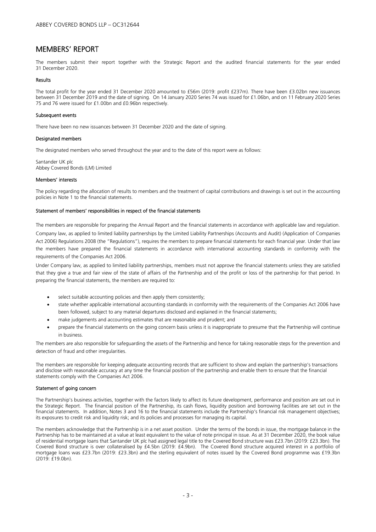### MEMBERS' REPORT

The members submit their report together with the Strategic Report and the audited financial statements for the year ended 31 December 2020.

#### Results

The total profit for the year ended 31 December 2020 amounted to £56m (2019: profit £237m). There have been £3.02bn new issuances between 31 December 2019 and the date of signing. On 14 January 2020 Series 74 was issued for £1.06bn, and on 11 February 2020 Series 75 and 76 were issued for £1.00bn and £0.96bn respectively.

#### Subsequent events

There have been no new issuances between 31 December 2020 and the date of signing.

#### Designated members

The designated members who served throughout the year and to the date of this report were as follows:

Santander UK plc Abbey Covered Bonds (LM) Limited

#### Members' interests

The policy regarding the allocation of results to members and the treatment of capital contributions and drawings is set out in the accounting policies in Note 1 to the financial statements.

#### Statement of members' responsibilities in respect of the financial statements

The members are responsible for preparing the Annual Report and the financial statements in accordance with applicable law and regulation. Company law, as applied to limited liability partnerships by the Limited Liability Partnerships (Accounts and Audit) (Application of Companies Act 2006) Regulations 2008 (the "Regulations"), requires the members to prepare financial statements for each financial year. Under that law the members have prepared the financial statements in accordance with international accounting standards in conformity with the requirements of the Companies Act 2006.

Under Company law, as applied to limited liability partnerships, members must not approve the financial statements unless they are satisfied that they give a true and fair view of the state of affairs of the Partnership and of the profit or loss of the partnership for that period. In preparing the financial statements, the members are required to:

- select suitable accounting policies and then apply them consistently;
- state whether applicable international accounting standards in conformity with the requirements of the Companies Act 2006 have been followed, subject to any material departures disclosed and explained in the financial statements;
- make judgements and accounting estimates that are reasonable and prudent; and
- prepare the financial statements on the going concern basis unless it is inappropriate to presume that the Partnership will continue in business.

The members are also responsible for safeguarding the assets of the Partnership and hence for taking reasonable steps for the prevention and detection of fraud and other irregularities.

The members are responsible for keeping adequate accounting records that are sufficient to show and explain the partnership's transactions and disclose with reasonable accuracy at any time the financial position of the partnership and enable them to ensure that the financial statements comply with the Companies Act 2006.

#### Statement of going concern

The Partnership's business activities, together with the factors likely to affect its future development, performance and position are set out in the Strategic Report. The financial position of the Partnership, its cash flows, liquidity position and borrowing facilities are set out in the financial statements. In addition, Notes 3 and 16 to the financial statements include the Partnership's financial risk management objectives; its exposures to credit risk and liquidity risk; and its policies and processes for managing its capital.

The members acknowledge that the Partnership is in a net asset position. Under the terms of the bonds in issue, the mortgage balance in the Partnership has to be maintained at a value at least equivalent to the value of note principal in issue. As at 31 December 2020, the book value of residential mortgage loans that Santander UK plc had assigned legal title to the Covered Bond structure was £23.7bn (2019: £23.3bn). The Covered Bond structure is over collateralised by £4.5bn (2019: £4.9bn). The Covered Bond structure acquired interest in a portfolio of mortgage loans was £23.7bn (2019: £23.3bn) and the sterling equivalent of notes issued by the Covered Bond programme was £19.3bn (2019: £19.0bn).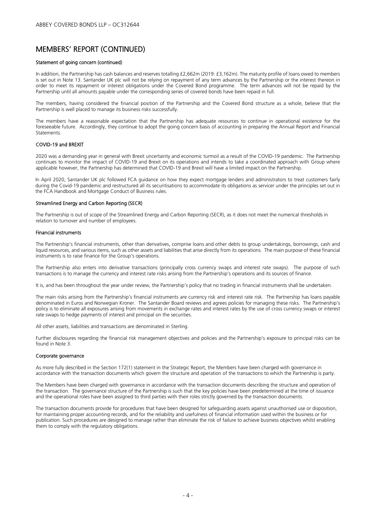### MEMBERS' REPORT (CONTINUED)

#### Statement of going concern (continued)

In addition, the Partnership has cash balances and reserves totalling £2,662m (2019: £3,162m). The maturity profile of loans owed to members is set out in Note 13. Santander UK plc will not be relying on repayment of any term advances by the Partnership or the interest thereon in order to meet its repayment or interest obligations under the Covered Bond programme. The term advances will not be repaid by the Partnership until all amounts payable under the corresponding series of covered bonds have been repaid in full.

The members, having considered the financial position of the Partnership and the Covered Bond structure as a whole, believe that the Partnership is well placed to manage its business risks successfully.

The members have a reasonable expectation that the Partnership has adequate resources to continue in operational existence for the foreseeable future. Accordingly, they continue to adopt the going concern basis of accounting in preparing the Annual Report and Financial Statements.

#### COVID-19 and BREXIT

2020 was a demanding year in general with Brexit uncertainty and economic turmoil as a result of the COVID-19 pandemic. The Partnership continues to monitor the impact of COVID-19 and Brexit on its operations and intends to take a coordinated approach with Group where applicable however, the Partnership has determined that COVID-19 and Brexit will have a limited impact on the Partnership.

In April 2020, Santander UK plc followed FCA guidance on how they expect mortgage lenders and administrators to treat customers fairly during the Covid-19 pandemic and restructured all its securitisations to accommodate its obligations as servicer under the principles set out in the FCA Handbook and Mortgage Conduct of Business rules.

#### Streamlined Energy and Carbon Reporting (SECR)

The Partnership is out of scope of the Streamlined Energy and Carbon Reporting (SECR), as it does not meet the numerical thresholds in relation to turnover and number of employees.

#### Financial instruments

The Partnership's financial instruments, other than derivatives, comprise loans and other debts to group undertakings, borrowings, cash and liquid resources, and various items, such as other assets and liabilities that arise directly from its operations. The main purpose of these financial instruments is to raise finance for the Group's operations.

The Partnership also enters into derivative transactions (principally cross currency swaps and interest rate swaps). The purpose of such transactions is to manage the currency and interest rate risks arising from the Partnership's operations and its sources of finance.

It is, and has been throughout the year under review, the Partnership's policy that no trading in financial instruments shall be undertaken.

The main risks arising from the Partnership's financial instruments are currency risk and interest rate risk. The Partnership has loans payable denominated in Euros and Norwegian Kroner. The Santander Board reviews and agrees policies for managing these risks. The Partnership's policy is to eliminate all exposures arising from movements in exchange rates and interest rates by the use of cross currency swaps or interest rate swaps to hedge payments of interest and principal on the securities.

All other assets, liabilities and transactions are denominated in Sterling.

Further disclosures regarding the financial risk management objectives and policies and the Partnership's exposure to principal risks can be found in Note 3.

#### Corporate governance

As more fully described in the Section 172(1) statement in the Strategic Report, the Members have been charged with governance in accordance with the transaction documents which govern the structure and operation of the transactions to which the Partnership is party.

The Members have been charged with governance in accordance with the transaction documents describing the structure and operation of the transaction. The governance structure of the Partnership is such that the key policies have been predetermined at the time of issuance and the operational roles have been assigned to third parties with their roles strictly governed by the transaction documents.

The transaction documents provide for procedures that have been designed for safeguarding assets against unauthorised use or disposition, for maintaining proper accounting records, and for the reliability and usefulness of financial information used within the business or for publication. Such procedures are designed to manage rather than eliminate the risk of failure to achieve business objectives whilst enabling them to comply with the regulatory obligations.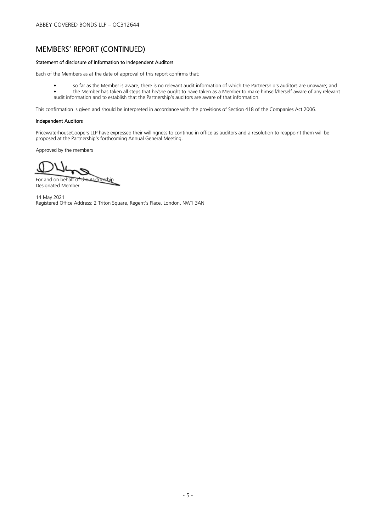### MEMBERS' REPORT (CONTINUED)

#### Statement of disclosure of information to Independent Auditors

Each of the Members as at the date of approval of this report confirms that:

• so far as the Member is aware, there is no relevant audit information of which the Partnership's auditors are unaware; and • the Member has taken all steps that he/she ought to have taken as a Member to make himself/herself aware of any relevant audit information and to establish that the Partnership's auditors are aware of that information.

This confirmation is given and should be interpreted in accordance with the provisions of Section 418 of the Companies Act 2006.

#### Independent Auditors

PricewaterhouseCoopers LLP have expressed their willingness to continue in office as auditors and a resolution to reappoint them will be proposed at the Partnership's forthcoming Annual General Meeting.

Approved by the members

For and on behalf of the Partnership Designated Member

14 May 2021 Registered Office Address: 2 Triton Square, Regent's Place, London, NW1 3AN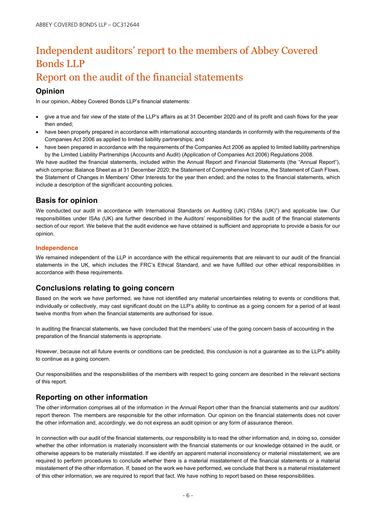# Independent auditors' report to the members of Abbey Covered Bonds LLP

# Report on the audit of the financial statements

### **Opinion**

In our opinion, Abbey Covered Bonds LLP's financial statements:

- give a true and fair view of the state of the LLP's affairs as at 31 December 2020 and of its profit and cash flows for the year then ended;
- have been properly prepared in accordance with international accounting standards in conformity with the requirements of the Companies Act 2006 as applied to limited liability partnerships; and
- have been prepared in accordance with the requirements of the Companies Act 2006 as applied to limited liability partnerships by the Limited Liability Partnerships (Accounts and Audit) (Application of Companies Act 2006) Regulations 2008.

We have audited the financial statements, included within the Annual Report and Financial Statements (the "Annual Report"), which comprise: Balance Sheet as at 31 December 2020; the Statement of Comprehensive Income, the Statement of Cash Flows, the Statement of Changes in Members' Other Interests for the year then ended; and the notes to the financial statements, which include a description of the significant accounting policies.

### **Basis for opinion**

We conducted our audit in accordance with International Standards on Auditing (UK) ("ISAs (UK)") and applicable law. Our responsibilities under ISAs (UK) are further described in the Auditors' responsibilities for the audit of the financial statements section of our report. We believe that the audit evidence we have obtained is sufficient and appropriate to provide a basis for our opinion.

#### **Independence**

We remained independent of the LLP in accordance with the ethical requirements that are relevant to our audit of the financial statements in the UK, which includes the FRC's Ethical Standard, and we have fulfilled our other ethical responsibilities in accordance with these requirements.

### **Conclusions relating to going concern**

Based on the work we have performed, we have not identified any material uncertainties relating to events or conditions that, individually or collectively, may cast significant doubt on the LLP's ability to continue as a going concern for a period of at least twelve months from when the financial statements are authorised for issue.

In auditing the financial statements, we have concluded that the members' use of the going concern basis of accounting in the preparation of the financial statements is appropriate.

However, because not all future events or conditions can be predicted, this conclusion is not a guarantee as to the LLP's ability to continue as a going concern.

Our responsibilities and the responsibilities of the members with respect to going concern are described in the relevant sections of this report.

### **Reporting on other information**

The other information comprises all of the information in the Annual Report other than the financial statements and our auditors' report thereon. The members are responsible for the other information. Our opinion on the financial statements does not cover the other information and, accordingly, we do not express an audit opinion or any form of assurance thereon.

In connection with our audit of the financial statements, our responsibility is to read the other information and, in doing so, consider whether the other information is materially inconsistent with the financial statements or our knowledge obtained in the audit, or otherwise appears to be materially misstated. If we identify an apparent material inconsistency or material misstatement, we are required to perform procedures to conclude whether there is a material misstatement of the financial statements or a material misstatement of the other information. If, based on the work we have performed, we conclude that there is a material misstatement of this other information, we are required to report that fact. We have nothing to report based on these responsibilities.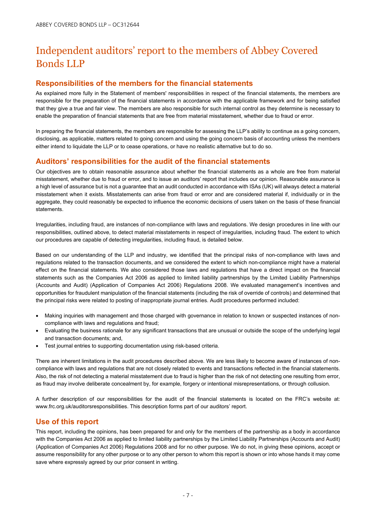# Independent auditors' report to the members of Abbey Covered Bonds LLP

### **Responsibilities of the members for the financial statements**

As explained more fully in the Statement of members' responsibilities in respect of the financial statements, the members are responsible for the preparation of the financial statements in accordance with the applicable framework and for being satisfied that they give a true and fair view. The members are also responsible for such internal control as they determine is necessary to enable the preparation of financial statements that are free from material misstatement, whether due to fraud or error.

In preparing the financial statements, the members are responsible for assessing the LLP's ability to continue as a going concern, disclosing, as applicable, matters related to going concern and using the going concern basis of accounting unless the members either intend to liquidate the LLP or to cease operations, or have no realistic alternative but to do so.

### **Auditors' responsibilities for the audit of the financial statements**

Our objectives are to obtain reasonable assurance about whether the financial statements as a whole are free from material misstatement, whether due to fraud or error, and to issue an auditors' report that includes our opinion. Reasonable assurance is a high level of assurance but is not a guarantee that an audit conducted in accordance with ISAs (UK) will always detect a material misstatement when it exists. Misstatements can arise from fraud or error and are considered material if, individually or in the aggregate, they could reasonably be expected to influence the economic decisions of users taken on the basis of these financial statements.

Irregularities, including fraud, are instances of non-compliance with laws and regulations. We design procedures in line with our responsibilities, outlined above, to detect material misstatements in respect of irregularities, including fraud. The extent to which our procedures are capable of detecting irregularities, including fraud, is detailed below.

Based on our understanding of the LLP and industry, we identified that the principal risks of non-compliance with laws and regulations related to the transaction documents, and we considered the extent to which non-compliance might have a material effect on the financial statements. We also considered those laws and regulations that have a direct impact on the financial statements such as the Companies Act 2006 as applied to limited liability partnerships by the Limited Liability Partnerships (Accounts and Audit) (Application of Companies Act 2006) Regulations 2008. We evaluated management's incentives and opportunities for fraudulent manipulation of the financial statements (including the risk of override of controls) and determined that the principal risks were related to posting of inappropriate journal entries. Audit procedures performed included:

- Making inquiries with management and those charged with governance in relation to known or suspected instances of noncompliance with laws and regulations and fraud;
- Evaluating the business rationale for any significant transactions that are unusual or outside the scope of the underlying legal and transaction documents; and,
- Test journal entries to supporting documentation using risk-based criteria.

There are inherent limitations in the audit procedures described above. We are less likely to become aware of instances of noncompliance with laws and regulations that are not closely related to events and transactions reflected in the financial statements. Also, the risk of not detecting a material misstatement due to fraud is higher than the risk of not detecting one resulting from error, as fraud may involve deliberate concealment by, for example, forgery or intentional misrepresentations, or through collusion.

A further description of our responsibilities for the audit of the financial statements is located on the FRC's website at: www.frc.org.uk/auditorsresponsibilities. This description forms part of our auditors' report.

### **Use of this report**

This report, including the opinions, has been prepared for and only for the members of the partnership as a body in accordance with the Companies Act 2006 as applied to limited liability partnerships by the Limited Liability Partnerships (Accounts and Audit) (Application of Companies Act 2006) Regulations 2008 and for no other purpose. We do not, in giving these opinions, accept or assume responsibility for any other purpose or to any other person to whom this report is shown or into whose hands it may come save where expressly agreed by our prior consent in writing.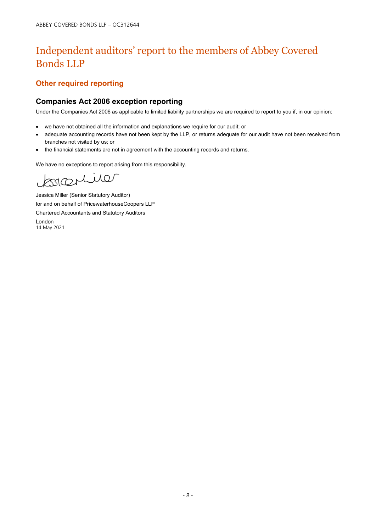# Independent auditors' report to the members of Abbey Covered Bonds LLP

### **Other required reporting**

### **Companies Act 2006 exception reporting**

Under the Companies Act 2006 as applicable to limited liability partnerships we are required to report to you if, in our opinion:

- we have not obtained all the information and explanations we require for our audit; or
- adequate accounting records have not been kept by the LLP, or returns adequate for our audit have not been received from branches not visited by us; or
- the financial statements are not in agreement with the accounting records and returns.

We have no exceptions to report arising from this responsibility.

solite  $\mathbf$ 

Jessica Miller (Senior Statutory Auditor) for and on behalf of PricewaterhouseCoopers LLP Chartered Accountants and Statutory Auditors London 14 May 2021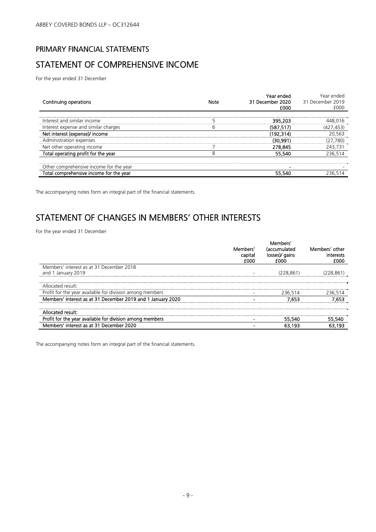# PRIMARY FINANCIAL STATEMENTS STATEMENT OF COMPREHENSIVE INCOME

For the year ended 31 December

| Continuing operations                   | Note | Year ended<br>31 December 2020<br>£000 | Year ended<br>31 December 2019<br>£000 |
|-----------------------------------------|------|----------------------------------------|----------------------------------------|
| Interest and similar income             |      | 395,203                                |                                        |
| Interest expense and similar charges    | h    | (587.517)                              | (427,453)                              |
| Net interest (expense)/ income          |      | 192.314)                               | 20.563                                 |
| Administration expenses                 |      | (30,991)                               | (27,780)                               |
| Net other operating income              |      | 278,845                                | 243,731                                |
| Total operating profit for the year     | 8    | 55.540                                 | 236,514                                |
| Other comprehensive income for the year |      |                                        |                                        |
| Total comprehensive income for the year |      |                                        | 236.51                                 |

The accompanying notes form an integral part of the financial statements.

## STATEMENT OF CHANGES IN MEMBERS' OTHER INTERESTS

For the year ended 31 December

|                                                             | Members'                    |                                        |                                     |
|-------------------------------------------------------------|-----------------------------|----------------------------------------|-------------------------------------|
|                                                             | Members'<br>capital<br>£000 | (accumulated<br>losses)/ gains<br>£000 | Members' other<br>interests<br>£000 |
| Members' interest as at 31 December 2018                    |                             |                                        |                                     |
| and 1 January 2019                                          |                             | (228.861)                              |                                     |
| Allocated result:                                           |                             |                                        |                                     |
| Profit for the year available for division among members    |                             | 236.514                                | 236.514                             |
| Members' interest as at 31 December 2019 and 1 January 2020 |                             | 7.653                                  | 1.653                               |
| Allocated result:                                           |                             |                                        |                                     |
| Profit for the year available for division among members    |                             | 55,540                                 | 55,540                              |
| Members' interest as at 31 December 2020                    |                             | 63,193                                 | 63.193                              |

The accompanying notes form an integral part of the financial statements.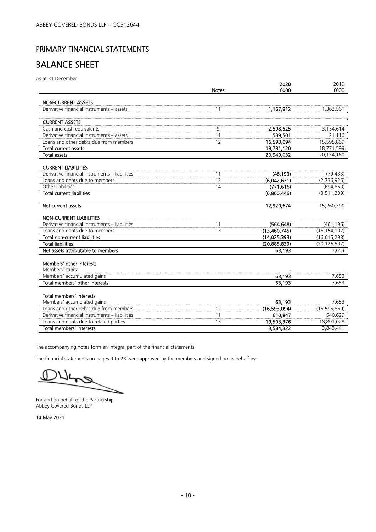### PRIMARY FINANCIAL STATEMENTS

## BALANCE SHEET

As at 31 December

|                                                | <b>Notes</b> | 2020<br>£000   | 2019<br>£000   |
|------------------------------------------------|--------------|----------------|----------------|
| <b>NON-CURRENT ASSETS</b>                      |              |                |                |
| Derivative financial instruments - assets      | 11           | 1,167,912      | 1,362,561      |
| <b>CURRENT ASSETS</b>                          |              |                |                |
| Cash and cash equivalents                      | 9            | 2,598,525      | 3,154,614      |
| Derivative financial instruments - assets      | 11           | 589.501        | 21,116         |
| Loans and other debts due from members         | 12           | 16,593,094     | 15,595,869     |
| <b>Total current assets</b>                    |              | 19,781,120     | 18,771,599     |
| <b>Total assets</b>                            |              | 20,949,032     | 20,134,160     |
| <b>CURRENT LIABILITIES</b>                     |              |                |                |
| Derivative financial instruments - liabilities | 11           | (46.199)       | (79, 433)      |
| Loans and debts due to members                 | 13           | (6,042,631)    | (2,736,926)    |
| Other liabilities                              | 14           | (771, 616)     | (694, 850)     |
| <b>Total current liabilities</b>               |              | (6,860,446)    | (3,511,209)    |
| Net current assets                             |              | 12,920,674     | 15,260,390     |
| <b>NON-CURRENT LIABILITIES</b>                 |              |                |                |
| Derivative financial instruments - liabilities | 11           | (564, 648)     | (461, 196)     |
| Loans and debts due to members                 | 13           | (13,460,745)   | (16, 154, 102) |
| <b>Total non-current liabilities</b>           |              | (14, 025, 393) | (16,615,298)   |
| <b>Total liabilities</b>                       |              | (20, 885, 839) | (20, 126, 507) |
| Net assets attributable to members             |              | 63,193         | 7,653          |
| Members' other interests                       |              |                |                |
| Members' capital                               |              |                |                |
| Members' accumulated gains                     |              | 63,193         | 7,653          |
| Total members' other interests                 |              | 63.193         | 7,653          |
| Total members' interests                       |              |                |                |
| Members' accumulated gains                     |              | 63,193         | 7,653          |
| Loans and other debts due from members         | 12           | (16,593,094)   | (15, 595, 869) |
| Derivative financial instruments - liabilities | 11           | 610,847        | 540,629        |
| Loans and debts due to related parties         | 13           | 19,503,376     | 18,891,028     |
| Total members' interests                       |              | 3,584,322      | 3,843,441      |

The accompanying notes form an integral part of the financial statements.

The financial statements on pages 9 to 23 were approved by the members and signed on its behalf by:

 $4 - 6$ J,

For and on behalf of the Partnership Abbey Covered Bonds LLP

14 May 2021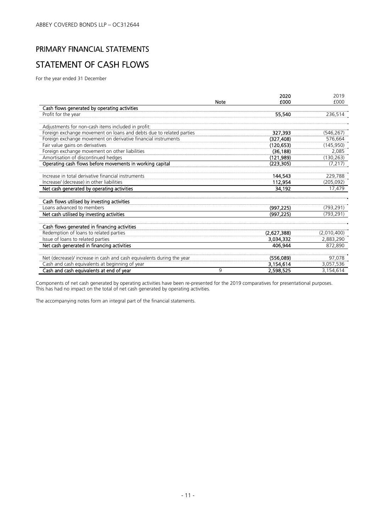# PRIMARY FINANCIAL STATEMENTS STATEMENT OF CASH FLOWS

For the year ended 31 December

|                                                                       |             | 2020        | 2019        |
|-----------------------------------------------------------------------|-------------|-------------|-------------|
|                                                                       | <b>Note</b> | £000        | £000        |
| Cash flows generated by operating activities                          |             |             |             |
| Profit for the year                                                   |             | 55,540      | 236,514     |
|                                                                       |             |             |             |
| Adjustments for non-cash items included in profit:                    |             |             |             |
| Foreign exchange movement on loans and debts due to related parties   |             | 327,393     | (546, 267)  |
| Foreign exchange movement on derivative financial instruments         |             | (327, 408)  | 576,664     |
| Fair value gains on derivatives                                       |             | (120, 653)  | (145, 950)  |
| Foreign exchange movement on other liabilities                        |             | (36, 188)   | 2,085       |
| Amortisation of discontinued hedges                                   |             | (121.989)   | (130, 263)  |
| Operating cash flows before movements in working capital              |             | (223, 305)  | (7, 217)    |
|                                                                       |             |             |             |
| Increase in total derivative financial instruments                    |             | 144,543     | 229,788     |
| Increase/ (decrease) in other liabilities                             |             | 112,954     | (205, 092)  |
| Net cash generated by operating activities                            |             | 34,192      | 17,479      |
|                                                                       |             |             |             |
| Cash flows utilised by investing activities                           |             |             |             |
| Loans advanced to members                                             |             | (997, 225)  | (793, 291)  |
| Net cash utilised by investing activities                             |             | (997, 225)  | (793, 291)  |
|                                                                       |             |             |             |
| Cash flows generated in financing activities                          |             |             |             |
| Redemption of loans to related parties                                |             | (2,627,388) | (2,010,400) |
| Issue of loans to related parties                                     |             | 3,034,332   | 2,883,290   |
| Net cash generated in financing activities                            |             | 406,944     | 872,890     |
|                                                                       |             |             |             |
| Net (decrease)/ increase in cash and cash equivalents during the year |             | (556,089)   | 97,078      |
| Cash and cash equivalents at beginning of year                        |             | 3,154,614   | 3,057,536   |
| Cash and cash equivalents at end of year                              | 9           | 2,598,525   | 3,154,614   |

Components of net cash generated by operating activities have been re-presented for the 2019 comparatives for presentational purposes. This has had no impact on the total of net cash generated by operating activities.

The accompanying notes form an integral part of the financial statements.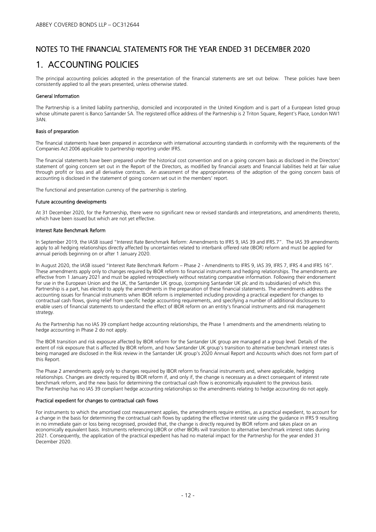### NOTES TO THE FINANCIAL STATEMENTS FOR THE YEAR ENDED 31 DECEMBER 2020

### 1. ACCOUNTING POLICIES

The principal accounting policies adopted in the presentation of the financial statements are set out below. These policies have been consistently applied to all the years presented, unless otherwise stated.

#### General Information

The Partnership is a limited liability partnership, domiciled and incorporated in the United Kingdom and is part of a European listed group whose ultimate parent is Banco Santander SA. The registered office address of the Partnership is 2 Triton Square, Regent's Place, London NW1 3AN.

#### Basis of preparation

The financial statements have been prepared in accordance with international accounting standards in conformity with the requirements of the Companies Act 2006 applicable to partnership reporting under IFRS.

The financial statements have been prepared under the historical cost convention and on a going concern basis as disclosed in the Directors' statement of going concern set out in the Report of the Directors, as modified by financial assets and financial liabilities held at fair value through profit or loss and all derivative contracts. An assessment of the appropriateness of the adoption of the going concern basis of accounting is disclosed in the statement of going concern set out in the members' report.

The functional and presentation currency of the partnership is sterling.

#### Future accounting developments

At 31 December 2020, for the Partnership, there were no significant new or revised standards and interpretations, and amendments thereto, which have been issued but which are not yet effective.

#### Interest Rate Benchmark Reform

In September 2019, the IASB issued "Interest Rate Benchmark Reform: Amendments to IFRS 9, IAS 39 and IFRS.7". The IAS 39 amendments apply to all hedging relationships directly affected by uncertainties related to interbank offered rate (IBOR) reform and must be applied for annual periods beginning on or after 1 January 2020.

In August 2020, the IASB issued "Interest Rate Benchmark Reform – Phase 2 - Amendments to IFRS 9, IAS 39, IFRS 7, IFRS 4 and IFRS 16". These amendments apply only to changes required by IBOR reform to financial instruments and hedging relationships. The amendments are effective from 1 January 2021 and must be applied retrospectively without restating comparative information. Following their endorsement for use in the European Union and the UK, the Santander UK group, (comprising Santander UK plc and its subsidiaries) of which this Partnership is a part, has elected to apply the amendments in the preparation of these financial statements. The amendments address the accounting issues for financial instruments when IBOR reform is implemented including providing a practical expedient for changes to contractual cash flows, giving relief from specific hedge accounting requirements, and specifying a number of additional disclosures to enable users of financial statements to understand the effect of IBOR reform on an entity's financial instruments and risk management strategy.

As the Partnership has no IAS 39 compliant hedge accounting relationships, the Phase 1 amendments and the amendments relating to hedge accounting in Phase 2 do not apply.

The IBOR transition and risk exposure affected by IBOR reform for the Santander UK group are managed at a group level. Details of the extent of risk exposure that is affected by IBOR reform, and how Santander UK group's transition to alternative benchmark interest rates is being managed are disclosed in the Risk review in the Santander UK group's 2020 Annual Report and Accounts which does not form part of this Report.

The Phase 2 amendments apply only to changes required by IBOR reform to financial instruments and, where applicable, hedging relationships. Changes are directly required by IBOR reform if, and only if, the change is necessary as a direct consequent of interest rate benchmark reform, and the new basis for determining the contractual cash flow is economically equivalent to the previous basis. The Partnership has no IAS 39 compliant hedge accounting relationships so the amendments relating to hedge accounting do not apply.

#### Practical expedient for changes to contractual cash flows

For instruments to which the amortised cost measurement applies, the amendments require entities, as a practical expedient, to account for a change in the basis for determining the contractual cash flows by updating the effective interest rate using the guidance in IFRS 9 resulting in no immediate gain or loss being recognised, provided that, the change is directly required by IBOR reform and takes place on an economically equivalent basis. Instruments referencing LIBOR or other IBORs will transition to alternative benchmark interest rates during 2021. Consequently, the application of the practical expedient has had no material impact for the Partnership for the year ended 31 December 2020.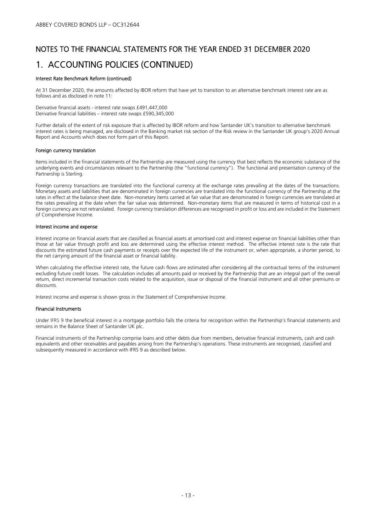# NOTES TO THE FINANCIAL STATEMENTS FOR THE YEAR ENDED 31 DECEMBER 2020 1. ACCOUNTING POLICIES (CONTINUED)

#### Interest Rate Benchmark Reform (continued)

At 31 December 2020, the amounts affected by IBOR reform that have yet to transition to an alternative benchmark interest rate are as follows and as disclosed in note 11:

Derivative financial assets - interest rate swaps £491,447,000 Derivative financial liabilities – interest rate swaps £590,345,000

Further details of the extent of risk exposure that is affected by IBOR reform and how Santander UK's transition to alternative benchmark interest rates is being managed, are disclosed in the Banking market risk section of the Risk review in the Santander UK group's 2020 Annual Report and Accounts which does not form part of this Report.

#### Foreign currency translation

Items included in the financial statements of the Partnership are measured using the currency that best reflects the economic substance of the underlying events and circumstances relevant to the Partnership (the "functional currency"). The functional and presentation currency of the Partnership is Sterling.

Foreign currency transactions are translated into the functional currency at the exchange rates prevailing at the dates of the transactions. Monetary assets and liabilities that are denominated in foreign currencies are translated into the functional currency of the Partnership at the rates in effect at the balance sheet date. Non-monetary items carried at fair value that are denominated in foreign currencies are translated at the rates prevailing at the date when the fair value was determined. Non-monetary items that are measured in terms of historical cost in a foreign currency are not retranslated. Foreign currency translation differences are recognised in profit or loss and are included in the Statement of Comprehensive Income.

#### Interest income and expense

Interest income on financial assets that are classified as financial assets at amortised cost and interest expense on financial liabilities other than those at fair value through profit and loss are determined using the effective interest method. The effective interest rate is the rate that discounts the estimated future cash payments or receipts over the expected life of the instrument or, when appropriate, a shorter period, to the net carrying amount of the financial asset or financial liability.

When calculating the effective interest rate, the future cash flows are estimated after considering all the contractual terms of the instrument excluding future credit losses. The calculation includes all amounts paid or received by the Partnership that are an integral part of the overall return, direct incremental transaction costs related to the acquisition, issue or disposal of the financial instrument and all other premiums or discounts.

Interest income and expense is shown gross in the Statement of Comprehensive Income.

#### Financial Instruments

Under IFRS 9 the beneficial interest in a mortgage portfolio fails the criteria for recognition within the Partnership's financial statements and remains in the Balance Sheet of Santander UK plc.

Financial instruments of the Partnership comprise loans and other debts due from members, derivative financial instruments, cash and cash equivalents and other receivables and payables arising from the Partnership's operations. These instruments are recognised, classified and subsequently measured in accordance with IFRS 9 as described below.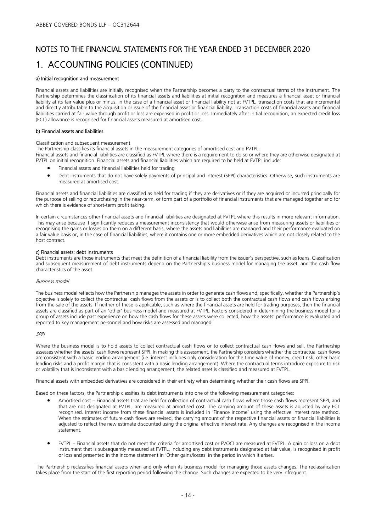# NOTES TO THE FINANCIAL STATEMENTS FOR THE YEAR ENDED 31 DECEMBER 2020

### 1. ACCOUNTING POLICIES (CONTINUED)

#### a) Initial recognition and measurement

Financial assets and liabilities are initially recognised when the Partnership becomes a party to the contractual terms of the instrument. The Partnership determines the classification of its financial assets and liabilities at initial recognition and measures a financial asset or financial liability at its fair value plus or minus, in the case of a financial asset or financial liability not at FVTPL, transaction costs that are incremental and directly attributable to the acquisition or issue of the financial asset or financial liability. Transaction costs of financial assets and financial liabilities carried at fair value through profit or loss are expensed in profit or loss. Immediately after initial recognition, an expected credit loss (ECL) allowance is recognised for financial assets measured at amortised cost.

#### b) Financial assets and liabilities

#### Classification and subsequent measurement

The Partnership classifies its financial assets in the measurement categories of amortised cost and FVTPL.

Financial assets and financial liabilities are classified as FVTPL where there is a requirement to do so or where they are otherwise designated at FVTPL on initial recognition. Financial assets and financial liabilities which are required to be held at FVTPL include:

- Financial assets and financial liabilities held for trading
- Debt instruments that do not have solely payments of principal and interest (SPPI) characteristics. Otherwise, such instruments are measured at amortised cost.

Financial assets and financial liabilities are classified as held for trading if they are derivatives or if they are acquired or incurred principally for the purpose of selling or repurchasing in the near-term, or form part of a portfolio of financial instruments that are managed together and for which there is evidence of short-term profit taking.

In certain circumstances other financial assets and financial liabilities are designated at FVTPL where this results in more relevant information. This may arise because it significantly reduces a measurement inconsistency that would otherwise arise from measuring assets or liabilities or recognising the gains or losses on them on a different basis, where the assets and liabilities are managed and their performance evaluated on a fair value basis or, in the case of financial liabilities, where it contains one or more embedded derivatives which are not closely related to the host contract.

#### c) Financial assets: debt instruments

Debt instruments are those instruments that meet the definition of a financial liability from the issuer's perspective, such as loans. Classification and subsequent measurement of debt instruments depend on the Partnership's business model for managing the asset, and the cash flow characteristics of the asset.

#### Business model

The business model reflects how the Partnership manages the assets in order to generate cash flows and, specifically, whether the Partnership's objective is solely to collect the contractual cash flows from the assets or is to collect both the contractual cash flows and cash flows arising from the sale of the assets. If neither of these is applicable, such as where the financial assets are held for trading purposes, then the financial assets are classified as part of an 'other' business model and measured at FVTPL. Factors considered in determining the business model for a group of assets include past experience on how the cash flows for these assets were collected, how the assets' performance is evaluated and reported to key management personnel and how risks are assessed and managed.

#### SPPI

Where the business model is to hold assets to collect contractual cash flows or to collect contractual cash flows and sell, the Partnership assesses whether the assets' cash flows represent SPPI. In making this assessment, the Partnership considers whether the contractual cash flows are consistent with a basic lending arrangement (i.e. interest includes only consideration for the time value of money, credit risk, other basic lending risks and a profit margin that is consistent with a basic lending arrangement). Where the contractual terms introduce exposure to risk or volatility that is inconsistent with a basic lending arrangement, the related asset is classified and measured at FVTPL.

Financial assets with embedded derivatives are considered in their entirety when determining whether their cash flows are SPPI.

Based on these factors, the Partnership classifies its debt instruments into one of the following measurement categories:

- Amortised cost Financial assets that are held for collection of contractual cash flows where those cash flows represent SPPI, and that are not designated at FVTPL, are measured at amortised cost. The carrying amount of these assets is adjusted by any ECL recognised. Interest income from these financial assets is included in 'Finance income' using the effective interest rate method. When the estimates of future cash flows are revised, the carrying amount of the respective financial assets or financial liabilities is adjusted to reflect the new estimate discounted using the original effective interest rate. Any changes are recognised in the income statement.
- FVTPL Financial assets that do not meet the criteria for amortised cost or FVOCI are measured at FVTPL. A gain or loss on a debt instrument that is subsequently measured at FVTPL, including any debt instruments designated at fair value, is recognised in profit or loss and presented in the income statement in 'Other gains/losses' in the period in which it arises.

The Partnership reclassifies financial assets when and only when its business model for managing those assets changes. The reclassification takes place from the start of the first reporting period following the change. Such changes are expected to be very infrequent.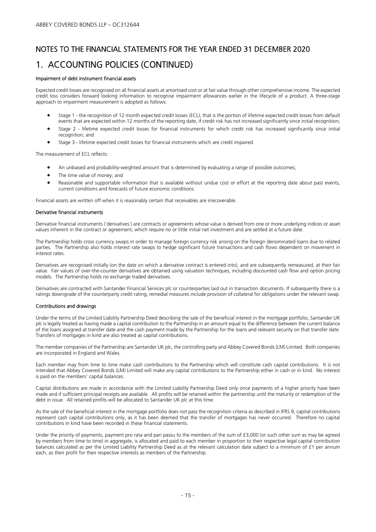# NOTES TO THE FINANCIAL STATEMENTS FOR THE YEAR ENDED 31 DECEMBER 2020 1. ACCOUNTING POLICIES (CONTINUED)

#### Impairment of debt instrument financial assets

Expected credit losses are recognised on all financial assets at amortised cost or at fair value through other comprehensive income. The expected credit loss considers forward looking information to recognise impairment allowances earlier in the lifecycle of a product. A three-stage approach to impairment measurement is adopted as follows:

- Stage 1 the recognition of 12 month expected credit losses (ECL), that is the portion of lifetime expected credit losses from default events that are expected within 12 months of the reporting date, if credit risk has not increased significantly since initial recognition;
- Stage 2 lifetime expected credit losses for financial instruments for which credit risk has increased significantly since initial recognition; and
- Stage 3 lifetime expected credit losses for financial instruments which are credit impaired.

The measurement of ECL reflects:

- An unbiased and probability-weighted amount that is determined by evaluating a range of possible outcomes;
- The time value of money; and
- Reasonable and supportable information that is available without undue cost or effort at the reporting date about past events, current conditions and forecasts of future economic conditions.

Financial assets are written off when it is reasonably certain that receivables are irrecoverable.

#### Derivative financial instruments

Derivative financial instruments ('derivatives') are contracts or agreements whose value is derived from one or more underlying indices or asset values inherent in the contract or agreement, which require no or little initial net investment and are settled at a future date.

The Partnership holds cross currency swaps in order to manage foreign currency risk arising on the foreign denominated loans due to related parties. The Partnership also holds interest rate swaps to hedge significant future transactions and cash flows dependent on movement in interest rates.

Derivatives are recognised initially (on the date on which a derivative contract is entered into), and are subsequently remeasured, at their fair value. Fair values of over-the-counter derivatives are obtained using valuation techniques, including discounted cash flow and option pricing models. The Partnership holds no exchange traded derivatives.

Derivatives are contracted with Santander Financial Services plc or counterparties laid out in transaction documents. If subsequently there is a ratings downgrade of the counterparty credit rating, remedial measures include provision of collateral for obligations under the relevant swap.

#### Contributions and drawings

Under the terms of the Limited Liability Partnership Deed describing the sale of the beneficial interest in the mortgage portfolio, Santander UK plc is legally treated as having made a capital contribution to the Partnership in an amount equal to the difference between the current balance of the loans assigned at transfer date and the cash payment made by the Partnership for the loans and relevant security on that transfer date. Transfers of mortgages in kind are also treated as capital contributions.

The member companies of the Partnership are Santander UK plc, the controlling party and Abbey Covered Bonds (LM) Limited. Both companies are incorporated in England and Wales.

Each member may from time to time make cash contributions to the Partnership which will constitute cash capital contributions. It is not intended that Abbey Covered Bonds (LM) Limited will make any capital contributions to the Partnership either in cash or in kind. No interest is paid on the members' capital balances.

Capital distributions are made in accordance with the Limited Liability Partnership Deed only once payments of a higher priority have been made and if sufficient principal receipts are available. All profits will be retained within the partnership until the maturity or redemption of the debt in issue. All retained profits will be allocated to Santander UK plc at this time.

As the sale of the beneficial interest in the mortgage portfolio does not pass the recognition criteria as described in IFRS 9, capital contributions represent cash capital contributions only, as it has been deemed that the transfer of mortgages has never occurred. Therefore no capital contributions in kind have been recorded in these financial statements.

Under the priority of payments, payment pro rata and pari passu to the members of the sum of £3,000 (or such other sum as may be agreed by members from time to time) in aggregate, is allocated and paid to each member in proportion to their respective legal capital contribution balances calculated as per the Limited Liability Partnership Deed as at the relevant calculation date subject to a minimum of £1 per annum each, as their profit for their respective interests as members of the Partnership.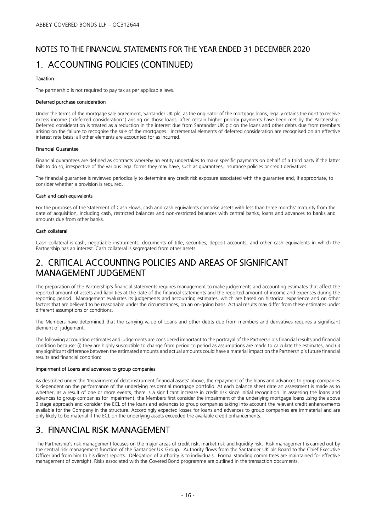# NOTES TO THE FINANCIAL STATEMENTS FOR THE YEAR ENDED 31 DECEMBER 2020 1. ACCOUNTING POLICIES (CONTINUED)

#### Taxation

The partnership is not required to pay tax as per applicable laws.

#### Deferred purchase consideration

Under the terms of the mortgage sale agreement, Santander UK plc, as the originator of the mortgage loans, legally retains the right to receive excess income ("deferred consideration") arising on those loans, after certain higher priority payments have been met by the Partnership. Deferred consideration is treated as a reduction in the interest due from Santander UK plc on the loans and other debts due from members arising on the failure to recognise the sale of the mortgages. Incremental elements of deferred consideration are recognised on an effective interest rate basis; all other elements are accounted for as incurred.

#### Financial Guarantee

Financial guarantees are defined as contracts whereby an entity undertakes to make specific payments on behalf of a third party if the latter fails to do so, irrespective of the various legal forms they may have, such as guarantees, insurance policies or credit derivatives.

The financial guarantee is reviewed periodically to determine any credit risk exposure associated with the guarantee and, if appropriate, to consider whether a provision is required.

#### Cash and cash equivalents

For the purposes of the Statement of Cash Flows, cash and cash equivalents comprise assets with less than three months' maturity from the date of acquisition, including cash, restricted balances and non-restricted balances with central banks, loans and advances to banks and amounts due from other banks.

#### Cash collateral

Cash collateral is cash, negotiable instruments, documents of title, securities, deposit accounts, and other cash equivalents in which the Partnership has an interest. Cash collateral is segregated from other assets.

### 2. CRITICAL ACCOUNTING POLICIES AND AREAS OF SIGNIFICANT MANAGEMENT JUDGEMENT

The preparation of the Partnership's financial statements requires management to make judgements and accounting estimates that affect the reported amount of assets and liabilities at the date of the financial statements and the reported amount of income and expenses during the reporting period. Management evaluates its judgements and accounting estimates, which are based on historical experience and on other factors that are believed to be reasonable under the circumstances, on an on-going basis. Actual results may differ from these estimates under different assumptions or conditions.

The Members have determined that the carrying value of Loans and other debts due from members and derivatives requires a significant element of judgement.

The following accounting estimates and judgements are considered important to the portrayal of the Partnership's financial results and financial condition because: (i) they are highly susceptible to change from period to period as assumptions are made to calculate the estimates, and (ii) any significant difference between the estimated amounts and actual amounts could have a material impact on the Partnership's future financial results and financial condition:

#### Impairment of Loans and advances to group companies

As described under the 'Impairment of debt instrument financial assets' above, the repayment of the loans and advances to group companies is dependent on the performance of the underlying residential mortgage portfolio. At each balance sheet date an assessment is made as to whether, as a result of one or more events, there is a significant increase in credit risk since initial recognition. In assessing the loans and advances to group companies for impairment, the Members first consider the impairment of the underlying mortgage loans using the above 3 stage approach and consider the ECL of the loans and advances to group companies taking into account the relevant credit enhancements available for the Company in the structure. Accordingly expected losses for loans and advances to group companies are immaterial and are only likely to be material if the ECL on the underlying assets exceeded the available credit enhancements.

### 3. FINANCIAL RISK MANAGEMENT

The Partnership's risk management focuses on the major areas of credit risk, market risk and liquidity risk. Risk management is carried out by the central risk management function of the Santander UK Group. Authority flows from the Santander UK plc Board to the Chief Executive Officer and from him to his direct reports. Delegation of authority is to individuals. Formal standing committees are maintained for effective management of oversight. Risks associated with the Covered Bond programme are outlined in the transaction documents.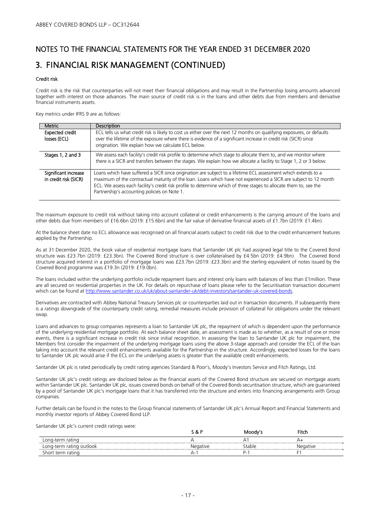# NOTES TO THE FINANCIAL STATEMENTS FOR THE YEAR ENDED 31 DECEMBER 2020

### 3. FINANCIAL RISK MANAGEMENT (CONTINUED)

#### Credit risk

Credit risk is the risk that counterparties will not meet their financial obligations and may result in the Partnership losing amounts advanced together with interest on those advances. The main source of credit risk is in the loans and other debts due from members and derivative financial instruments assets.

Key metrics under IFRS 9 are as follows:

| <b>Metric</b>                                 | <b>Description</b>                                                                                                                                                                                                                                                                                                                                                                                       |
|-----------------------------------------------|----------------------------------------------------------------------------------------------------------------------------------------------------------------------------------------------------------------------------------------------------------------------------------------------------------------------------------------------------------------------------------------------------------|
| <b>Expected credit</b><br>losses (ECL)        | ECL tells us what credit risk is likely to cost us either over the next 12 months on qualifying exposures, or defaults<br>over the lifetime of the exposure where there is evidence of a significant increase in credit risk (SICR) since<br>origination. We explain how we calculate ECL below.                                                                                                         |
| Stages 1, 2 and 3                             | We assess each facility's credit risk profile to determine which stage to allocate them to, and we monitor where<br>there is a SICR and transfers between the stages. We explain how we allocate a facility to Stage 1, 2 or 3 below.                                                                                                                                                                    |
| Significant increase<br>in credit risk (SICR) | Loans which have suffered a SICR since origination are subject to a lifetime ECL assessment which extends to a<br>maximum of the contractual maturity of the loan. Loans which have not experienced a SICR are subject to 12 month<br>ECL. We assess each facility's credit risk profile to determine which of three stages to allocate them to, see the<br>Partnership's accounting policies on Note 1. |

The maximum exposure to credit risk without taking into account collateral or credit enhancements is the carrying amount of the loans and other debts due from members of £16.6bn (2019: £15.6bn) and the fair value of derivative financial assets of £1.7bn (2019: £1.4bn).

At the balance sheet date no ECL allowance was recognised on all financial assets subject to credit risk due to the credit enhancement features applied by the Partnership.

As at 31 December 2020, the book value of residential mortgage loans that Santander UK plc had assigned legal title to the Covered Bond structure was £23.7bn (2019: £23.3bn). The Covered Bond structure is over collateralised by £4.5bn (2019: £4.9bn). The Covered Bond structure acquired interest in a portfolio of mortgage loans was £23.7bn (2019: £23.3bn) and the sterling equivalent of notes issued by the Covered Bond programme was £19.3n (2019: £19.0bn).

The loans included within the underlying portfolio include repayment loans and interest only loans with balances of less than £1million. These are all secured on residential properties in the UK. For details on repurchase of loans please refer to the Securitisation transaction document which can be found at http://www.santander.co.uk/uk/about-santander-uk/debt-investors/santander-uk-covered-bonds.

Derivatives are contracted with Abbey National Treasury Services plc or counterparties laid out in transaction documents. If subsequently there is a ratings downgrade of the counterparty credit rating, remedial measures include provision of collateral for obligations under the relevant swap.

Loans and advances to group companies represents a loan to Santander UK plc, the repayment of which is dependent upon the performance of the underlying residential mortgage portfolio. At each balance sheet date, an assessment is made as to whether, as a result of one or more events, there is a significant increase in credit risk since initial recognition. In assessing the loan to Santander UK plc for impairment, the Members first consider the impairment of the underlying mortgage loans using the above 3-stage approach and consider the ECL of the loan taking into account the relevant credit enhancements available for the Partnership in the structure. Accordingly, expected losses for the loans to Santander UK plc would arise if the ECL on the underlying assets is greater than the available credit enhancements.

Santander UK plc is rated periodically by credit rating agencies Standard & Poor's, Moody's Investors Service and Fitch Ratings, Ltd.

Santander UK plc's credit ratings are disclosed below as the financial assets of the Covered Bond structure are secured on mortgage assets within Santander UK plc. Santander UK plc, issues covered bonds on behalf of the Covered Bonds securitisation structure, which are guaranteed by a pool of Santander UK plc's mortgage loans that it has transferred into the structure and enters into financing arrangements with Group companies.

Further details can be found in the notes to the Group financial statements of Santander UK plc's Annual Report and Financial Statements and monthly investor reports of Abbey Covered Bond LLP.

Santander UK plc's current credit ratings were:

|                          |          | Moodv' | Fitch.   |
|--------------------------|----------|--------|----------|
| Long-term rating         |          |        |          |
| Long-term rating outlook | Negative | table  | Negative |
| .hort                    | ∸ ב      |        |          |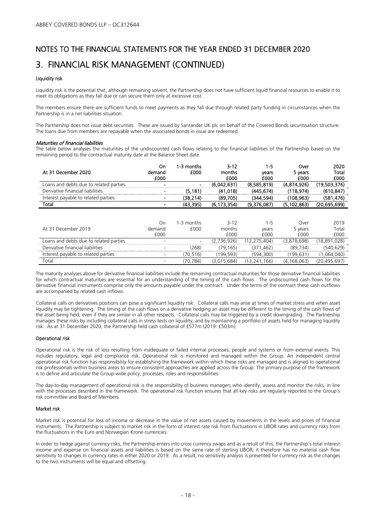# NOTES TO THE FINANCIAL STATEMENTS FOR THE YEAR ENDED 31 DECEMBER 2020 3. FINANCIAL RISK MANAGEMENT (CONTINUED)

#### Liquidity risk

Liquidity risk is the potential that, although remaining solvent, the Partnership does not have sufficient liquid financial resources to enable it to meet its obligations as they fall due or can secure them only at excessive cost.

The members ensure there are sufficient funds to meet payments as they fall due through related party funding in circumstances when the Partnership is in a net liabilities situation.

The Partnership does not issue debt securities. These are issued by Santander UK plc on behalf of the Covered Bonds securitisation structure. The loans due from members are repayable when the associated bonds in issue are redeemed.

#### Maturities of financial liabilities

The table below analyses the maturities of the undiscounted cash flows relating to the financial liabilities of the Partnership based on the remaining period to the contractual maturity date at the Balance Sheet date.

| At 31 December 2020                    | On<br>demand<br>£000 | 1-3 months<br>£000 | $3 - 12$<br>months<br>£000 | 1-5<br>vears<br>£000 | Over<br>5 years<br>£000 | 2020<br>Total<br>£000 |
|----------------------------------------|----------------------|--------------------|----------------------------|----------------------|-------------------------|-----------------------|
| Loans and debts due to related parties | $\blacksquare$       |                    | (6,042,631)                | (8.585.819)          | (4.874.926)             | (19,503,376)          |
| Derivative financial liabilities       | $\blacksquare$       | (5, 181)           | (41, 018)                  | (445.674)            | (118,974)               | (610, 847)            |
| Interest payable to related parties    | $\blacksquare$       | (38.214)           | (89,705)                   | (344,594)            | (108.963)               | (581, 476)            |
| Total                                  | $\blacksquare$       | (43, 395)          | (6, 173, 354)              | (9,376,087)          | (5.102.863)             | (20,695,699)          |
|                                        |                      |                    |                            |                      |                         |                       |

| At 31 December 2019                    | ()n<br>demand<br><b>f000</b> | 1-3 months<br>f000 | 3-12<br>months<br>f000 | vears<br>f000 | Over<br>5 years<br>£000 | 2019<br>Total<br>£000 |
|----------------------------------------|------------------------------|--------------------|------------------------|---------------|-------------------------|-----------------------|
| Loans and debts due to related parties | -                            |                    | 736.926)               | 275 404)      | (3.878.698)             | (18,891,028)          |
| Derivative financial liabilities       |                              | (268)              | (79.165                | (371.462)     | (89.734)                | (540.629)             |
| Interest payable to related parties    |                              | 70.516)            | (199.593)              | (594,300)     | 199.631                 | .064.040)             |
| <sup>-</sup> otal                      |                              | 70.784             | (3 015 684)            | 166)<br>14 /  | .168.063)               | (20.495.697           |

The maturity analyses above for derivative financial liabilities include the remaining contractual maturities for those derivative financial liabilities for which contractual maturities are essential for an understanding of the timing of the cash flows. The undiscounted cash flows for the derivative financial instruments comprise only the amounts payable under the contract. Under the terms of the contract these cash outflows are accompanied by related cash inflows.

Collateral calls on derivatives positions can pose a significant liquidity risk. Collateral calls may arise at times of market stress and when asset liquidity may be tightening. The timing of the cash flows on a derivative hedging an asset may be different to the timing of the cash flows of the asset being held, even if they are similar in all other respects. Collateral calls may be triggered by a credit downgrading. The Partnership manages these risks by including collateral calls in stress tests on liquidity, and by maintaining a portfolio of assets held for managing liquidity risk. As at 31 December 2020, the Partnership held cash collateral of £577m (2019: £503m).

#### Operational risk

Operational risk is the risk of loss resulting from inadequate or failed internal processes, people and systems or from external events. This includes regulatory, legal and compliance risk. Operational risk is monitored and managed within the Group. An independent central operational risk function has responsibility for establishing the framework within which these risks are managed and is aligned to operational risk professionals within business areas to ensure consistent approaches are applied across the Group. The primary purpose of the framework is to define and articulate the Group-wide policy, processes, roles and responsibilities.

The day-to-day management of operational risk is the responsibility of business managers who identify, assess and monitor the risks, in line with the processes described in the framework. The operational risk function ensures that all key risks are regularly reported to the Group's risk committee and Board of Members.

#### Market risk

Market risk is potential for loss of income or decrease in the value of net assets caused by movements in the levels and prices of financial instruments. The Partnership is subject to market risk in the form of interest rate risk from fluctuations in LIBOR rates and currency risks from the fluctuations in the Euro and Norwegian Krone currencies.

In order to hedge against currency risks, the Partnership enters into cross currency swaps and as a result of this, the Partnership's total interest income and expense on financial assets and liabilities is based on the same rate of sterling LIBOR; it therefore has no material cash flow sensitivity to changes in currency rates in either 2020 or 2019. As a result, no sensitivity analysis is presented for currency risk as the changes to the two instruments will be equal and offsetting.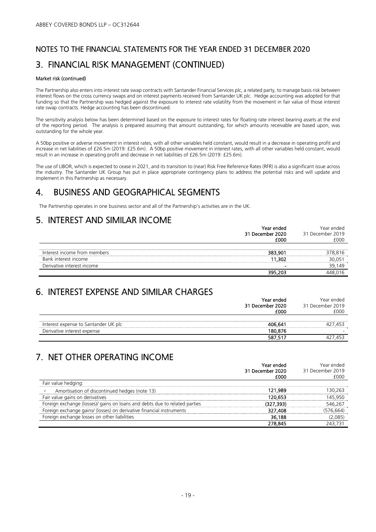# NOTES TO THE FINANCIAL STATEMENTS FOR THE YEAR ENDED 31 DECEMBER 2020 3. FINANCIAL RISK MANAGEMENT (CONTINUED)

#### Market risk (continued)

The Partnership also enters into interest rate swap contracts with Santander Financial Services plc, a related party, to manage basis risk between interest flows on the cross currency swaps and on interest payments received from Santander UK plc. Hedge accounting was adopted for that funding so that the Partnership was hedged against the exposure to interest rate volatility from the movement in fair value of those interest rate swap contracts. Hedge accounting has been discontinued.

The sensitivity analysis below has been determined based on the exposure to interest rates for floating rate interest bearing assets at the end of the reporting period. The analysis is prepared assuming that amount outstanding, for which amounts receivable are based upon, was outstanding for the whole year.

A 50bp positive or adverse movement in interest rates, with all other variables held constant, would result in a decrease in operating profit and increase in net liabilities of £26.5m (2019: £25.6m). A 50bp positive movement in interest rates, with all other variables held constant, would result in an increase in operating profit and decrease in net liabilities of £26.5m (2019: £25.6m).

The use of LIBOR, which is expected to cease in 2021, and its transition to (near) Risk Free Reference Rates (RFR) is also a significant issue across the industry. The Santander UK Group has put in place appropriate contingency plans to address the potential risks and will update and implement in this Partnership as necessary.

### 4. BUSINESS AND GEOGRAPHICAL SEGMENTS

The Partnership operates in one business sector and all of the Partnership's activities are in the UK.

### 5. INTEREST AND SIMILAR INCOME

|                              | Year ended       | Year ended       |
|------------------------------|------------------|------------------|
|                              | 31 December 2020 | 31 December 2019 |
|                              | £000             | იიი              |
|                              |                  |                  |
| Interest income from members | 383.901          | 378 816          |
| Bank interest income         | 11,302           | 30 OS            |
| Derivative interest income   |                  | 39.149           |
|                              | 395 203          |                  |

### 6. INTEREST EXPENSE AND SIMILAR CHARGES

|                                      | Year ended       | Year ended       |
|--------------------------------------|------------------|------------------|
|                                      | 31 December 2020 | 31 December 2019 |
|                                      | £000             | f000             |
|                                      |                  |                  |
| Interest expense to Santander UK plc | 406.641          | 453              |
| Derivative interest expense          | 180.876          |                  |
|                                      | 587.517          | 453              |

### 7. NET OTHER OPERATING INCOME

|                                                                            |                  | <i>(ea</i> r ended |
|----------------------------------------------------------------------------|------------------|--------------------|
|                                                                            | 31 December 2020 | 31 December 2019   |
|                                                                            | £000             | £000               |
| Fair value hedging:                                                        |                  |                    |
| Amortisation of discontinued hedges (note 13)                              | 121.989          |                    |
| Fair value gains on derivatives                                            | 120.653          | 45 950             |
| Foreign exchange (losses)/ gains on loans and debts due to related parties | ר דפ ד'          |                    |
| Foreign exchange gains/ (losses) on derivative financial instruments       | 327,408          |                    |
| Foreign exchange losses on other liabilities                               | 36.188           |                    |
|                                                                            | 278.845          |                    |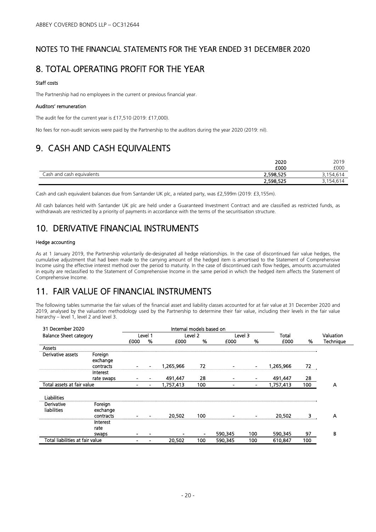### NOTES TO THE FINANCIAL STATEMENTS FOR THE YEAR ENDED 31 DECEMBER 2020

## 8. TOTAL OPERATING PROFIT FOR THE YEAR

#### Staff costs

The Partnership had no employees in the current or previous financial year.

#### Auditors' remuneration

The audit fee for the current year is £17,510 (2019: £17,000).

No fees for non-audit services were paid by the Partnership to the auditors during the year 2020 (2019: nil).

## 9. CASH AND CASH EQUIVALENTS

|                                 | 2020      | 2019                |
|---------------------------------|-----------|---------------------|
|                                 | £000      | £000                |
| Cash and<br>cash<br>equivalents | 2,598,525 | 54<br><u>.</u>      |
|                                 | 2,598,525 | : 154<br>ا ، ب<br>◡ |

Cash and cash equivalent balances due from Santander UK plc, a related party, was £2,599m (2019: £3,155m).

All cash balances held with Santander UK plc are held under a Guaranteed Investment Contract and are classified as restricted funds, as withdrawals are restricted by a priority of payments in accordance with the terms of the securitisation structure.

### 10. DERIVATIVE FINANCIAL INSTRUMENTS

#### Hedge accounting

As at 1 January 2019, the Partnership voluntarily de-designated all hedge relationships. In the case of discontinued fair value hedges, the cumulative adjustment that had been made to the carrying amount of the hedged item is amortised to the Statement of Comprehensive Income using the effective interest method over the period to maturity. In the case of discontinued cash flow hedges, amounts accumulated in equity are reclassified to the Statement of Comprehensive Income in the same period in which the hedged item affects the Statement of Comprehensive Income.

### 11. FAIR VALUE OF FINANCIAL INSTRUMENTS

The following tables summarise the fair values of the financial asset and liability classes accounted for at fair value at 31 December 2020 and 2019, analysed by the valuation methodology used by the Partnership to determine their fair value, including their levels in the fair value hierarchy – level 1, level 2 and level 3.

| 31 December 2020                 |                     |                    |                          | Internal models based on |                |                |                |           |           |           |
|----------------------------------|---------------------|--------------------|--------------------------|--------------------------|----------------|----------------|----------------|-----------|-----------|-----------|
| <b>Balance Sheet category</b>    |                     | Level 2<br>Level 1 |                          |                          | Level 3        |                | Total          |           | Valuation |           |
|                                  |                     | £000               | %                        | £000                     | %              | £000           | %              | £000      | %         | Technique |
| <b>Assets</b>                    |                     |                    |                          |                          |                |                |                |           |           |           |
| Derivative assets                | Foreign<br>exchange |                    |                          |                          |                |                |                |           |           |           |
|                                  | contracts           | $\blacksquare$     | $\blacksquare$           | 1,265,966                | 72             | ۰              | $\blacksquare$ | 1,265,966 | 72        |           |
|                                  | Interest            |                    |                          |                          |                |                |                |           |           |           |
|                                  | rate swaps          | $\blacksquare$     | $\blacksquare$           | 491,447                  | 28             | $\blacksquare$ | ٠              | 491,447   | 28        |           |
| Total assets at fair value       |                     |                    | $\overline{\phantom{0}}$ | 1,757,413                | 100            |                |                | 1,757,413 | 100       | A         |
| <b>Liabilities</b>               |                     |                    |                          |                          |                |                |                |           |           |           |
| Derivative<br><b>liabilities</b> | Foreign<br>exchange |                    |                          |                          |                |                |                |           |           |           |
|                                  | contracts           |                    | $\overline{\phantom{a}}$ | 20,502                   | 100            |                | $\blacksquare$ | 20,502    | 3         | A         |
|                                  | Interest            |                    |                          |                          |                |                |                |           |           |           |
|                                  | rate                |                    |                          |                          |                |                |                |           |           |           |
|                                  | swaps               | $\blacksquare$     |                          |                          | $\blacksquare$ | 590,345        | 100            | 590,345   | 97        | B         |
| Total liabilities at fair value  |                     |                    | ۰                        | 20,502                   | 100            | 590,345        | 100            | 610,847   | 100       |           |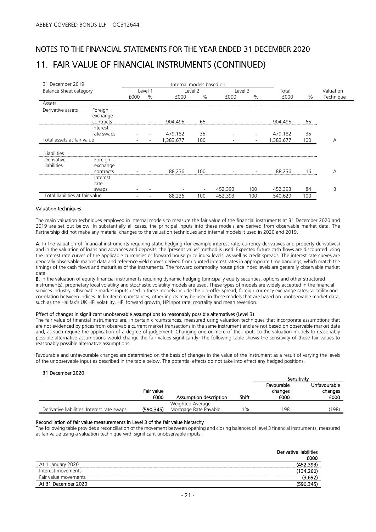# NOTES TO THE FINANCIAL STATEMENTS FOR THE YEAR ENDED 31 DECEMBER 2020 11. FAIR VALUE OF FINANCIAL INSTRUMENTS (CONTINUED)

| 31 December 2019                |                     | Internal models based on |      |           |               |                          |                          |           |           |           |
|---------------------------------|---------------------|--------------------------|------|-----------|---------------|--------------------------|--------------------------|-----------|-----------|-----------|
| Balance Sheet category          |                     | Level 1<br>Level 2       |      |           | Level 3       |                          | Total                    |           | Valuation |           |
|                                 |                     | £000                     | $\%$ | £000      | $\frac{0}{0}$ | £000                     | %                        | £000      | %         | Technique |
| Assets                          |                     |                          |      |           |               |                          |                          |           |           |           |
| Derivative assets               | Foreign<br>exchange |                          |      |           |               |                          |                          |           |           |           |
|                                 | contracts           |                          |      | 904,495   | 65            |                          | $\overline{\phantom{a}}$ | 904,495   | 65        |           |
|                                 | Interest            |                          |      |           |               |                          |                          |           |           |           |
|                                 | rate swaps          |                          |      | 479,182   | 35            | $\overline{\phantom{a}}$ | $\overline{\phantom{a}}$ | 479,182   | 35        |           |
| Total assets at fair value      |                     |                          |      | 1,383,677 | 100           |                          | $\overline{\phantom{a}}$ | 1,383,677 | 100       | А         |
| Liabilities                     |                     |                          |      |           |               |                          |                          |           |           |           |
| Derivative                      | Foreign             |                          |      |           |               |                          |                          |           |           |           |
| liabilities                     | exchange            |                          |      |           |               |                          |                          |           |           |           |
|                                 | contracts           |                          |      | 88,236    | 100           |                          | $\overline{\phantom{a}}$ | 88,236    | 16        | A         |
|                                 | Interest            |                          |      |           |               |                          |                          |           |           |           |
|                                 | rate                |                          |      |           |               |                          |                          |           |           |           |
|                                 | swaps               |                          |      |           |               | 452,393                  | 100                      | 452,393   | 84        | B         |
| Total liabilities at fair value |                     |                          |      | 88,236    | 100           | 452,393                  | 100                      | 540,629   | 100       |           |

#### Valuation techniques

The main valuation techniques employed in internal models to measure the fair value of the financial instruments at 31 December 2020 and 2019 are set out below. In substantially all cases, the principal inputs into these models are derived from observable market data. The Partnership did not make any material changes to the valuation techniques and internal models it used in 2020 and 2019.

A. In the valuation of financial instruments requiring static hedging (for example interest rate, currency derivatives and property derivatives) and in the valuation of loans and advances and deposits, the 'present value' method is used. Expected future cash flows are discounted using the interest rate curves of the applicable currencies or forward house price index levels, as well as credit spreads. The interest rate curves are generally observable market data and reference yield curves derived from quoted interest rates in appropriate time bandings, which match the timings of the cash flows and maturities of the instruments. The forward commodity house price index levels are generally observable market data.

B. In the valuation of equity financial instruments requiring dynamic hedging (principally equity securities, options and other structured instruments), proprietary local volatility and stochastic volatility models are used. These types of models are widely accepted in the financial services industry. Observable market inputs used in these models include the bid-offer spread, foreign currency exchange rates, volatility and correlation between indices. In limited circumstances, other inputs may be used in these models that are based on unobservable market data, such as the Halifax's UK HPI volatility, HPI forward growth, HPI spot rate, mortality and mean reversion.

#### Effect of changes in significant unobservable assumptions to reasonably possible alternatives (Level 3)

The fair value of financial instruments are, in certain circumstances, measured using valuation techniques that incorporate assumptions that are not evidenced by prices from observable current market transactions in the same instrument and are not based on observable market data and, as such require the application of a degree of judgement. Changing one or more of the inputs to the valuation models to reasonably possible alternative assumptions would change the fair values significantly. The following table shows the sensitivity of these fair values to reasonably possible alternative assumptions.

Favourable and unfavourable changes are determined on the basis of changes in the value of the instrument as a result of varying the levels of the unobservable input as described in the table below. The potential effects do not take into effect any hedged positions.

#### 31 December 2020

|                                             |                    |                        |       | Sensitivity                   |                                 |
|---------------------------------------------|--------------------|------------------------|-------|-------------------------------|---------------------------------|
|                                             | Fair value<br>£000 | Assumption description | Shift | Favourable<br>changes<br>£000 | Unfavourable<br>changes<br>£000 |
|                                             |                    | Weighted Average       |       |                               |                                 |
| Derivative liabilities: Interest rate swaps | (590.345)          | Mortgage Rate Payable  | 1%    | 198                           | (198)                           |

#### Reconciliation of fair value measurements in Level 3 of the fair value hierarchy

The following table provides a reconciliation of the movement between opening and closing balances of level 3 financial instruments, measured at fair value using a valuation technique with significant unobservable inputs:

|                      | Derivative liabilities |
|----------------------|------------------------|
|                      | £000                   |
| At 1 January 2020    | (452, 393)             |
| Interest movements   | (134, 260)             |
| Fair value movements | (3,692)                |
| At 31 December 2020  | (590.345)              |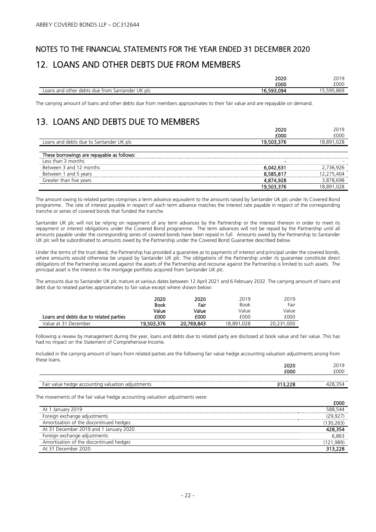# NOTES TO THE FINANCIAL STATEMENTS FOR THE YEAR ENDED 31 DECEMBER 2020 12. LOANS AND OTHER DEBTS DUE FROM MEMBERS

|                                                 | 2020       | 2019      |
|-------------------------------------------------|------------|-----------|
|                                                 | £000       | £000      |
| Loans and other debts due from Santander UK plc | 16,593,094 | 5,595,869 |

The carrying amount of loans and other debts due from members approximates to their fair value and are repayable on demand.

## 13. LOANS AND DEBTS DUE TO MEMBERS

|                                            | 2020       |           |
|--------------------------------------------|------------|-----------|
|                                            | £000       | f000      |
| Loans and debts due to Santander UK plc    | 19,503,376 | 18.891    |
|                                            |            |           |
| These borrowings are repayable as follows: |            |           |
| l ess than 3 months                        |            |           |
| Between 3 and 12 months                    | 6,042,631  | ' 736 926 |
| Between 1 and 5 years                      | 8.585.817  | 2.275.404 |
| Greater than five years                    | 4,874,928  | 3,878,698 |
|                                            | 19,503,376 | 18,891    |

The amount owing to related parties comprises a term advance equivalent to the amounts raised by Santander UK plc under its Covered Bond programme. The rate of interest payable in respect of each term advance matches the interest rate payable in respect of the corresponding tranche or series of covered bonds that funded the tranche.

Santander UK plc will not be relying on repayment of any term advances by the Partnership or the interest thereon in order to meet its repayment or interest obligations under the Covered Bond programme. The term advances will not be repaid by the Partnership until all amounts payable under the corresponding series of covered bonds have been repaid in full. Amounts owed by the Partnership to Santander UK plc will be subordinated to amounts owed by the Partnership under the Covered Bond Guarantee described below.

Under the terms of the trust deed, the Partnership has provided a guarantee as to payments of interest and principal under the covered bonds, where amounts would otherwise be unpaid by Santander UK plc. The obligations of the Partnership under its guarantee constitute direct obligations of the Partnership secured against the assets of the Partnership and recourse against the Partnership is limited to such assets. The principal asset is the interest in the mortgage portfolio acquired from Santander UK plc.

The amounts due to Santander UK plc mature at various dates between 12 April 2021 and 6 February 2032. The carrying amount of loans and debt due to related parties approximates to fair value except where shown below:

|                                        | 2020        | 2020       | 2019        | 2019       |
|----------------------------------------|-------------|------------|-------------|------------|
|                                        | <b>Book</b> | Fair       | <b>Book</b> | Fair       |
|                                        | Value       | Value      | Value       | Value      |
| Loans and debts due to related parties | £000        | £000       | £000        | £000       |
| Value at 31 December                   | 19.503.376  | 20.769.843 | 18.891.028  | 20.231.000 |

Following a review by management during the year, loans and debts due to related party are disclosed at book value and fair value. This has had no impact on the Statement of Comprehensive Income.

Included in the carrying amount of loans from related parties are the following fair value hedge accounting valuation adjustments arising from these loans.

|                                                   | 2020 |     |
|---------------------------------------------------|------|-----|
|                                                   | £000 | 000 |
|                                                   |      |     |
| Fair value hedge accounting valuation adjustments | ---  |     |

The movements of the fair value hedge accounting valuation adjustments were:

| At 1 January 2019                       |           |
|-----------------------------------------|-----------|
|                                         | 588 544   |
| Foreign exchange adjustments            | (29.927)  |
| Amortisation of the discontinued hedges | (130,263) |
| At 31 December 2019 and 1 January 2020  | 428.354   |
| Foreign exchange adjustments            | 6.863     |
| Amortisation of the discontinued hedges | (121,989) |
| At 31 December 2020                     | 313,228   |